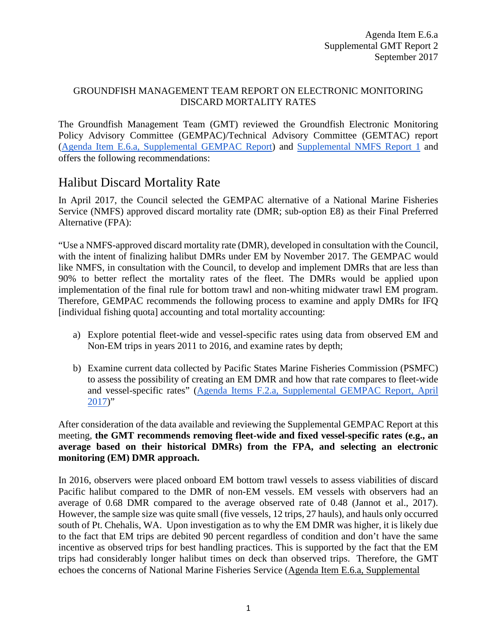#### GROUNDFISH MANAGEMENT TEAM REPORT ON ELECTRONIC MONITORING DISCARD MORTALITY RATES

The Groundfish Management Team (GMT) reviewed the Groundfish Electronic Monitoring Policy Advisory Committee (GEMPAC)/Technical Advisory Committee (GEMTAC) report [\(Agenda Item E.6.a, Supplemental GEMPAC Report\)](http://www.pcouncil.org/wp-content/uploads/2017/09/E6a_Sup_GEMPAC_Rpt1_SEPT2017BB.pdf) and [Supplemental NMFS Report 1](http://www.pcouncil.org/wp-content/uploads/2017/09/E6a_Sup_NMFS_Rpt1_SEPT2017BB.pdf) and offers the following recommendations:

## Halibut Discard Mortality Rate

In April 2017, the Council selected the GEMPAC alternative of a National Marine Fisheries Service (NMFS) approved discard mortality rate (DMR; sub-option E8) as their Final Preferred Alternative (FPA):

"Use a NMFS-approved discard mortality rate (DMR), developed in consultation with the Council, with the intent of finalizing halibut DMRs under EM by November 2017. The GEMPAC would like NMFS, in consultation with the Council, to develop and implement DMRs that are less than 90% to better reflect the mortality rates of the fleet. The DMRs would be applied upon implementation of the final rule for bottom trawl and non-whiting midwater trawl EM program. Therefore, GEMPAC recommends the following process to examine and apply DMRs for IFQ [individual fishing quota] accounting and total mortality accounting:

- a) Explore potential fleet-wide and vessel-specific rates using data from observed EM and Non-EM trips in years 2011 to 2016, and examine rates by depth;
- b) Examine current data collected by Pacific States Marine Fisheries Commission (PSMFC) to assess the possibility of creating an EM DMR and how that rate compares to fleet-wide and vessel-specific rates" [\(Agenda Items F.2.a, Supplemental GEMPAC Report, April](http://www.pcouncil.org/wp-content/uploads/2017/04/F2a_Sup_GEMPAC_Rpt_Apr2017BB.pdf)   $2017$ "

After consideration of the data available and reviewing the Supplemental GEMPAC Report at this meeting, **the GMT recommends removing fleet-wide and fixed vessel-specific rates (e.g., an average based on their historical DMRs) from the FPA, and selecting an electronic monitoring (EM) DMR approach.**

In 2016, observers were placed onboard EM bottom trawl vessels to assess viabilities of discard Pacific halibut compared to the DMR of non-EM vessels. EM vessels with observers had an average of 0.68 DMR compared to the average observed rate of 0.48 (Jannot et al., 2017). However, the sample size was quite small (five vessels, 12 trips, 27 hauls), and hauls only occurred south of Pt. Chehalis, WA. Upon investigation as to why the EM DMR was higher, it is likely due to the fact that EM trips are debited 90 percent regardless of condition and don't have the same incentive as observed trips for best handling practices. This is supported by the fact that the EM trips had considerably longer halibut times on deck than observed trips. Therefore, the GMT echoes the concerns of National Marine Fisheries Service [\(Agenda Item E.6.a, Supplemental](http://www.pcouncil.org/wp-content/uploads/2017/09/E6a_Sup_NMFS_Rpt1_SEPT2017BB.pdf)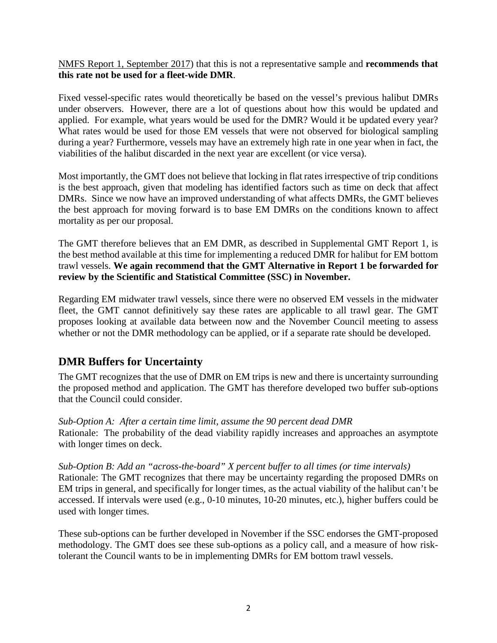[NMFS Report 1, September 2017\)](http://www.pcouncil.org/wp-content/uploads/2017/09/E6a_Sup_NMFS_Rpt1_SEPT2017BB.pdf) that this is not a representative sample and **recommends that this rate not be used for a fleet-wide DMR**.

Fixed vessel-specific rates would theoretically be based on the vessel's previous halibut DMRs under observers. However, there are a lot of questions about how this would be updated and applied. For example, what years would be used for the DMR? Would it be updated every year? What rates would be used for those EM vessels that were not observed for biological sampling during a year? Furthermore, vessels may have an extremely high rate in one year when in fact, the viabilities of the halibut discarded in the next year are excellent (or vice versa).

Most importantly, the GMT does not believe that locking in flat rates irrespective of trip conditions is the best approach, given that modeling has identified factors such as time on deck that affect DMRs. Since we now have an improved understanding of what affects DMRs, the GMT believes the best approach for moving forward is to base EM DMRs on the conditions known to affect mortality as per our proposal.

The GMT therefore believes that an EM DMR, as described in Supplemental GMT Report 1, is the best method available at this time for implementing a reduced DMR for halibut for EM bottom trawl vessels. **We again recommend that the GMT Alternative in Report 1 be forwarded for review by the Scientific and Statistical Committee (SSC) in November.**

Regarding EM midwater trawl vessels, since there were no observed EM vessels in the midwater fleet, the GMT cannot definitively say these rates are applicable to all trawl gear. The GMT proposes looking at available data between now and the November Council meeting to assess whether or not the DMR methodology can be applied, or if a separate rate should be developed.

### **DMR Buffers for Uncertainty**

The GMT recognizes that the use of DMR on EM trips is new and there is uncertainty surrounding the proposed method and application. The GMT has therefore developed two buffer sub-options that the Council could consider.

*Sub-Option A: After a certain time limit, assume the 90 percent dead DMR* Rationale: The probability of the dead viability rapidly increases and approaches an asymptote with longer times on deck.

*Sub-Option B: Add an "across-the-board" X percent buffer to all times (or time intervals)*  Rationale: The GMT recognizes that there may be uncertainty regarding the proposed DMRs on EM trips in general, and specifically for longer times, as the actual viability of the halibut can't be accessed. If intervals were used (e.g., 0-10 minutes, 10-20 minutes, etc.), higher buffers could be used with longer times.

These sub-options can be further developed in November if the SSC endorses the GMT-proposed methodology. The GMT does see these sub-options as a policy call, and a measure of how risktolerant the Council wants to be in implementing DMRs for EM bottom trawl vessels.